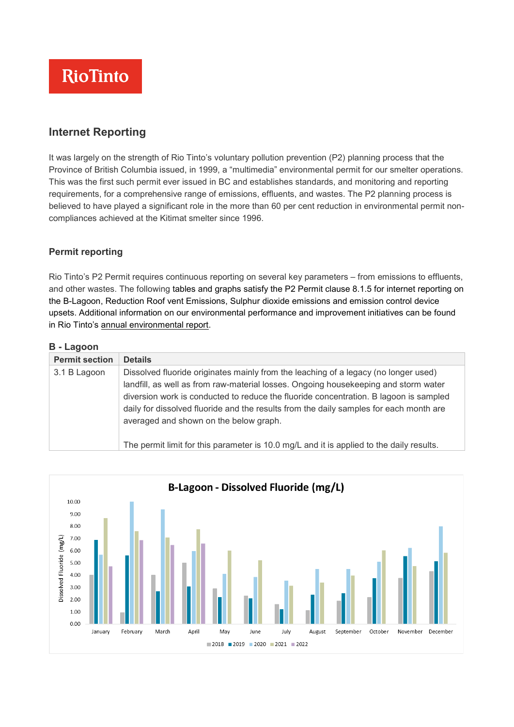

## **Internet Reporting**

It was largely on the strength of Rio Tinto's voluntary pollution prevention (P2) planning process that the Province of British Columbia issued, in 1999, a "multimedia" environmental permit for our smelter operations. This was the first such permit ever issued in BC and establishes standards, and monitoring and reporting requirements, for a comprehensive range of emissions, effluents, and wastes. The P2 planning process is believed to have played a significant role in the more than 60 per cent reduction in environmental permit noncompliances achieved at the Kitimat smelter since 1996.

#### **Permit reporting**

Rio Tinto's P2 Permit requires continuous reporting on several key parameters – from emissions to effluents, and other wastes. The following tables and graphs satisfy the P2 Permit clause 8.1.5 for internet reporting on the B-Lagoon, Reduction Roof vent Emissions, Sulphur dioxide emissions and emission control device upsets. Additional information on our environmental performance and improvement initiatives can be found in Rio Tinto's annual [environmental](https://www.riotinto.com/can/search/documents#main-search_sxatags=bcworks) report.

#### **B - Lagoon**

| <b>Permit section</b> | <b>Details</b>                                                                                                                                                                                                                                                                                                                                                                                          |
|-----------------------|---------------------------------------------------------------------------------------------------------------------------------------------------------------------------------------------------------------------------------------------------------------------------------------------------------------------------------------------------------------------------------------------------------|
| 3.1 B Lagoon          | Dissolved fluoride originates mainly from the leaching of a legacy (no longer used)<br>landfill, as well as from raw-material losses. Ongoing housekeeping and storm water<br>diversion work is conducted to reduce the fluoride concentration. B lagoon is sampled<br>daily for dissolved fluoride and the results from the daily samples for each month are<br>averaged and shown on the below graph. |
|                       | The permit limit for this parameter is 10.0 mg/L and it is applied to the daily results.                                                                                                                                                                                                                                                                                                                |

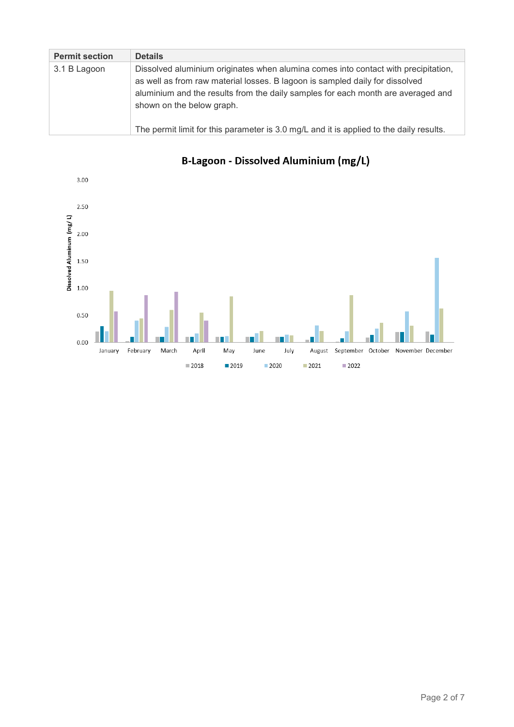| <b>Permit section</b> | <b>Details</b>                                                                                                                                                                                                                                                                                                                                                                 |
|-----------------------|--------------------------------------------------------------------------------------------------------------------------------------------------------------------------------------------------------------------------------------------------------------------------------------------------------------------------------------------------------------------------------|
| 3.1 B Lagoon          | Dissolved aluminium originates when alumina comes into contact with precipitation,<br>as well as from raw material losses. B lagoon is sampled daily for dissolved<br>aluminium and the results from the daily samples for each month are averaged and<br>shown on the below graph.<br>The permit limit for this parameter is 3.0 mg/L and it is applied to the daily results. |



# B-Lagoon - Dissolved Aluminium (mg/L)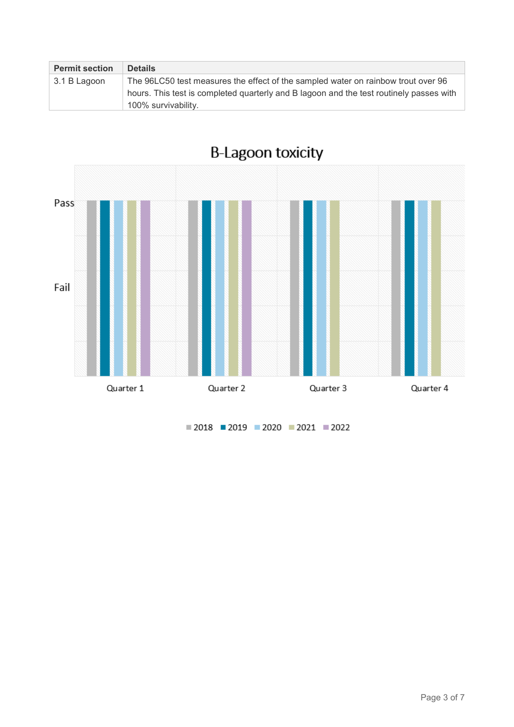| <b>Permit section</b> | <b>Details</b>                                                                          |  |  |  |
|-----------------------|-----------------------------------------------------------------------------------------|--|--|--|
| 3.1 B Lagoon          | The 96LC50 test measures the effect of the sampled water on rainbow trout over 96       |  |  |  |
|                       | hours. This test is completed quarterly and B lagoon and the test routinely passes with |  |  |  |
|                       | 100% survivability.                                                                     |  |  |  |



 $2018$  2019 2020 2021 2022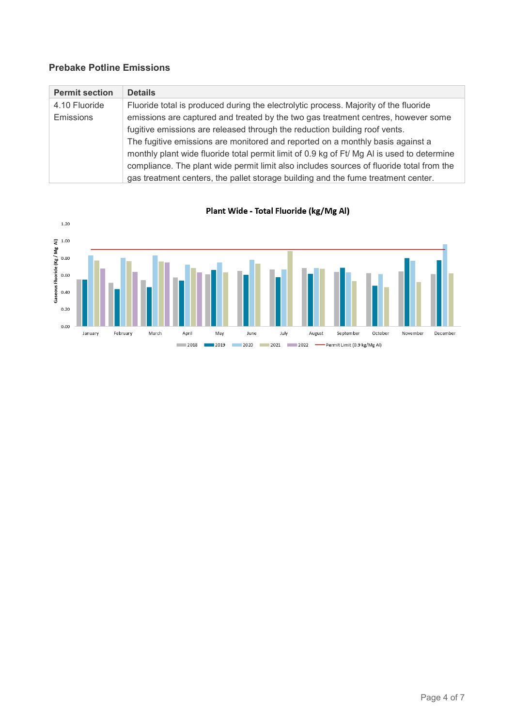### **Prebake Potline Emissions**

| <b>Permit section</b> | <b>Details</b>                                                                             |  |  |  |
|-----------------------|--------------------------------------------------------------------------------------------|--|--|--|
| 4.10 Fluoride         | Fluoride total is produced during the electrolytic process. Majority of the fluoride       |  |  |  |
| <b>Emissions</b>      | emissions are captured and treated by the two gas treatment centres, however some          |  |  |  |
|                       | fugitive emissions are released through the reduction building roof vents.                 |  |  |  |
|                       | The fugitive emissions are monitored and reported on a monthly basis against a             |  |  |  |
|                       | monthly plant wide fluoride total permit limit of 0.9 kg of Ft/ Mg AI is used to determine |  |  |  |
|                       | compliance. The plant wide permit limit also includes sources of fluoride total from the   |  |  |  |
|                       | gas treatment centers, the pallet storage building and the fume treatment center.          |  |  |  |



Plant Wide - Total Fluoride (kg/Mg Al)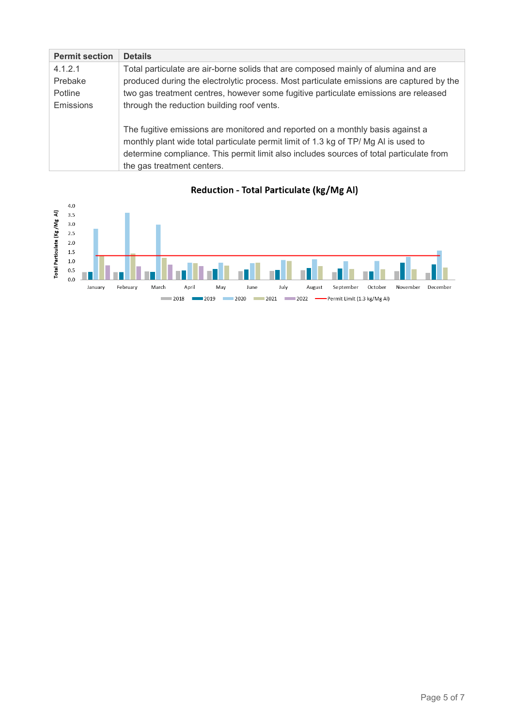| <b>Permit section</b> | <b>Details</b>                                                                           |
|-----------------------|------------------------------------------------------------------------------------------|
| 4.1.2.1               | Total particulate are air-borne solids that are composed mainly of alumina and are       |
| Prebake               | produced during the electrolytic process. Most particulate emissions are captured by the |
| Potline               | two gas treatment centres, however some fugitive particulate emissions are released      |
| <b>Emissions</b>      | through the reduction building roof vents.                                               |
|                       |                                                                                          |
|                       | The fugitive emissions are monitored and reported on a monthly basis against a           |
|                       | monthly plant wide total particulate permit limit of 1.3 kg of TP/ Mg AI is used to      |
|                       | determine compliance. This permit limit also includes sources of total particulate from  |
|                       | the gas treatment centers.                                                               |



Reduction - Total Particulate (kg/Mg Al)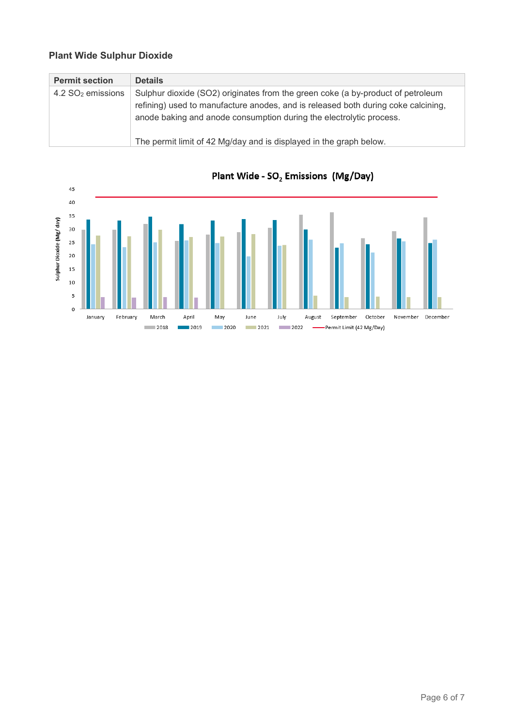### **Plant Wide Sulphur Dioxide**

| <b>Permit section</b>           | <b>Details</b>                                                                                                                                                                                                                              |
|---------------------------------|---------------------------------------------------------------------------------------------------------------------------------------------------------------------------------------------------------------------------------------------|
| $4.2$ SO <sub>2</sub> emissions | Sulphur dioxide (SO2) originates from the green coke (a by-product of petroleum<br>refining) used to manufacture anodes, and is released both during coke calcining,<br>anode baking and anode consumption during the electrolytic process. |
|                                 | The permit limit of 42 Mg/day and is displayed in the graph below.                                                                                                                                                                          |



## Plant Wide - SO<sub>2</sub> Emissions (Mg/Day)